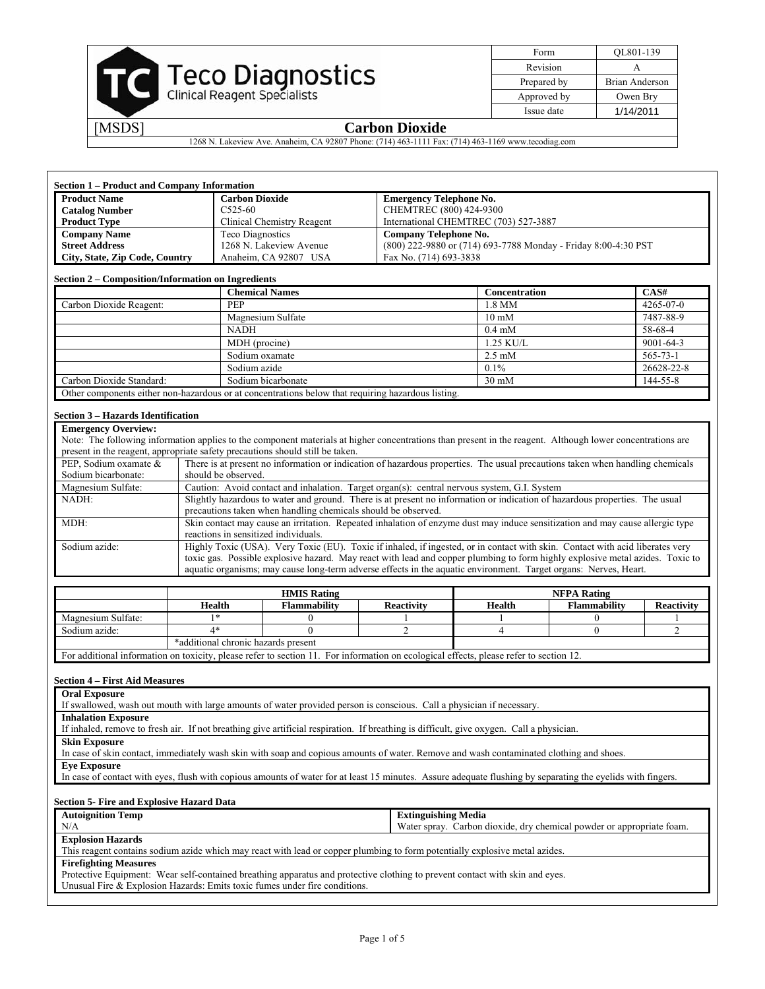| <b>Teco Diagnostics</b><br>Clinical Reagent Specialists |
|---------------------------------------------------------|
|                                                         |

| Form        | OL801-139             |
|-------------|-----------------------|
| Revision    |                       |
| Prepared by | <b>Brian Anderson</b> |
| Approved by | Owen Bry              |
| Issue date  | 1/14/2011             |
|             |                       |

1268 N. Lakeview Ave. Anaheim, CA 92807 Phone: (714) 463-1111 Fax: (714) 463-1169 www.tecodiag.com

| Section 1 – Product and Company Information |                            |                                                                |  |  |  |  |  |
|---------------------------------------------|----------------------------|----------------------------------------------------------------|--|--|--|--|--|
| <b>Product Name</b>                         | <b>Carbon Dioxide</b>      | <b>Emergency Telephone No.</b>                                 |  |  |  |  |  |
| <b>Catalog Number</b>                       | $C_{525-60}$               | CHEMTREC (800) 424-9300                                        |  |  |  |  |  |
| <b>Product Type</b>                         | Clinical Chemistry Reagent | International CHEMTREC (703) 527-3887                          |  |  |  |  |  |
| <b>Company Name</b>                         | Teco Diagnostics           | Company Telephone No.                                          |  |  |  |  |  |
| <b>Street Address</b>                       | 1268 N. Lakeview Avenue    | (800) 222-9880 or (714) 693-7788 Monday - Friday 8:00-4:30 PST |  |  |  |  |  |
| City, State, Zip Code, Country              | Anaheim, CA 92807 USA      | Fax No. (714) 693-3838                                         |  |  |  |  |  |

#### **Section 2 – Composition/Information on Ingredients**

|                                                                                                    | <b>Chemical Names</b> | <b>Concentration</b> | CAS#            |  |  |  |
|----------------------------------------------------------------------------------------------------|-----------------------|----------------------|-----------------|--|--|--|
| Carbon Dioxide Reagent:                                                                            | <b>PEP</b>            | 1.8 MM               | $4265 - 07 - 0$ |  |  |  |
|                                                                                                    | Magnesium Sulfate     | $10 \text{ mM}$      | 7487-88-9       |  |  |  |
|                                                                                                    | <b>NADH</b>           | $0.4 \text{ mM}$     | 58-68-4         |  |  |  |
|                                                                                                    | MDH (procine)         | $1.25$ KU/L          | $9001 - 64 - 3$ |  |  |  |
|                                                                                                    | Sodium oxamate        | $2.5 \text{ mM}$     | $565 - 73 - 1$  |  |  |  |
|                                                                                                    | Sodium azide          | $0.1\%$              | 26628-22-8      |  |  |  |
| Carbon Dioxide Standard:                                                                           | Sodium bicarbonate    | $30 \text{ mM}$      | 144-55-8        |  |  |  |
| Other components either non-hazardous or at concentrations below that requiring hazardous listing. |                       |                      |                 |  |  |  |

### **Section 3 – Hazards Identification**

| <b>Emergency Overview:</b>                                                                                                                                 |                                                                                                                               |  |  |  |  |  |
|------------------------------------------------------------------------------------------------------------------------------------------------------------|-------------------------------------------------------------------------------------------------------------------------------|--|--|--|--|--|
| Note: The following information applies to the component materials at higher concentrations than present in the reagent. Although lower concentrations are |                                                                                                                               |  |  |  |  |  |
|                                                                                                                                                            | present in the reagent, appropriate safety precautions should still be taken.                                                 |  |  |  |  |  |
| PEP, Sodium oxamate &                                                                                                                                      | There is at present no information or indication of hazardous properties. The usual precautions taken when handling chemicals |  |  |  |  |  |
| Sodium bicarbonate:                                                                                                                                        | should be observed.                                                                                                           |  |  |  |  |  |
| Magnesium Sulfate:                                                                                                                                         | Caution: Avoid contact and inhalation. Target organ(s): central nervous system, G.I. System                                   |  |  |  |  |  |
| NADH:                                                                                                                                                      | Slightly hazardous to water and ground. There is at present no information or indication of hazardous properties. The usual   |  |  |  |  |  |
|                                                                                                                                                            | precautions taken when handling chemicals should be observed.                                                                 |  |  |  |  |  |
| MDH:                                                                                                                                                       | Skin contact may cause an irritation. Repeated inhalation of enzyme dust may induce sensitization and may cause allergic type |  |  |  |  |  |
| reactions in sensitized individuals.                                                                                                                       |                                                                                                                               |  |  |  |  |  |
| Sodium azide:                                                                                                                                              | Highly Toxic (USA). Very Toxic (EU). Toxic if inhaled, if ingested, or in contact with skin. Contact with acid liberates very |  |  |  |  |  |
|                                                                                                                                                            | toxic gas. Possible explosive hazard. May react with lead and copper plumbing to form highly explosive metal azides. Toxic to |  |  |  |  |  |
|                                                                                                                                                            | aquatic organisms; may cause long-term adverse effects in the aquatic environment. Target organs: Nerves, Heart.              |  |  |  |  |  |

|                              |                                     | <b>HMIS Rating</b> | <b>NFPA Rating</b> |        |              |                   |  |
|------------------------------|-------------------------------------|--------------------|--------------------|--------|--------------|-------------------|--|
|                              | Health                              | Flammability       | <b>Reactivity</b>  | Health | Flammability | <b>Reactivity</b> |  |
| Magnesium Sulfate:           | ×                                   |                    |                    |        |              |                   |  |
| Sodium azide:                |                                     |                    |                    |        |              |                   |  |
|                              | *additional chronic hazards present |                    |                    |        |              |                   |  |
| 1.11.1<br>$\cdots$<br>$\sim$ |                                     | $\mathbf{A}$       |                    | $\sim$ | $\sim$       |                   |  |

For additional information on toxicity, please refer to section 11. For information on ecological effects, please refer to section 12.

#### **Section 4 – First Aid Measures**

|  | <b>Oral Exposure</b> |
|--|----------------------|
|--|----------------------|

If swallowed, wash out mouth with large amounts of water provided person is conscious. Call a physician if necessary.

**Inhalation Exposure** 

If inhaled, remove to fresh air. If not breathing give artificial respiration. If breathing is difficult, give oxygen. Call a physician.

**Skin Exposure** 

In case of skin contact, immediately wash skin with soap and copious amounts of water. Remove and wash contaminated clothing and shoes.

**Eye Exposure** 

In case of contact with eyes, flush with copious amounts of water for at least 15 minutes. Assure adequate flushing by separating the eyelids with fingers.

#### **Section 5- Fire and Explosive Hazard Data**

| <b>Autoignition Temp</b>                                                                                                     | <b>Extinguishing Media</b>                                            |  |  |  |
|------------------------------------------------------------------------------------------------------------------------------|-----------------------------------------------------------------------|--|--|--|
| N/A                                                                                                                          | Water spray. Carbon dioxide, dry chemical powder or appropriate foam. |  |  |  |
| <b>Explosion Hazards</b>                                                                                                     |                                                                       |  |  |  |
| This reagent contains sodium azide which may react with lead or copper plumbing to form potentially explosive metal azides.  |                                                                       |  |  |  |
| <b>Firefighting Measures</b>                                                                                                 |                                                                       |  |  |  |
| Protective Equipment: Wear self-contained breathing apparatus and protective clothing to prevent contact with skin and eyes. |                                                                       |  |  |  |
| Unusual Fire & Explosion Hazards: Emits toxic fumes under fire conditions.                                                   |                                                                       |  |  |  |
|                                                                                                                              |                                                                       |  |  |  |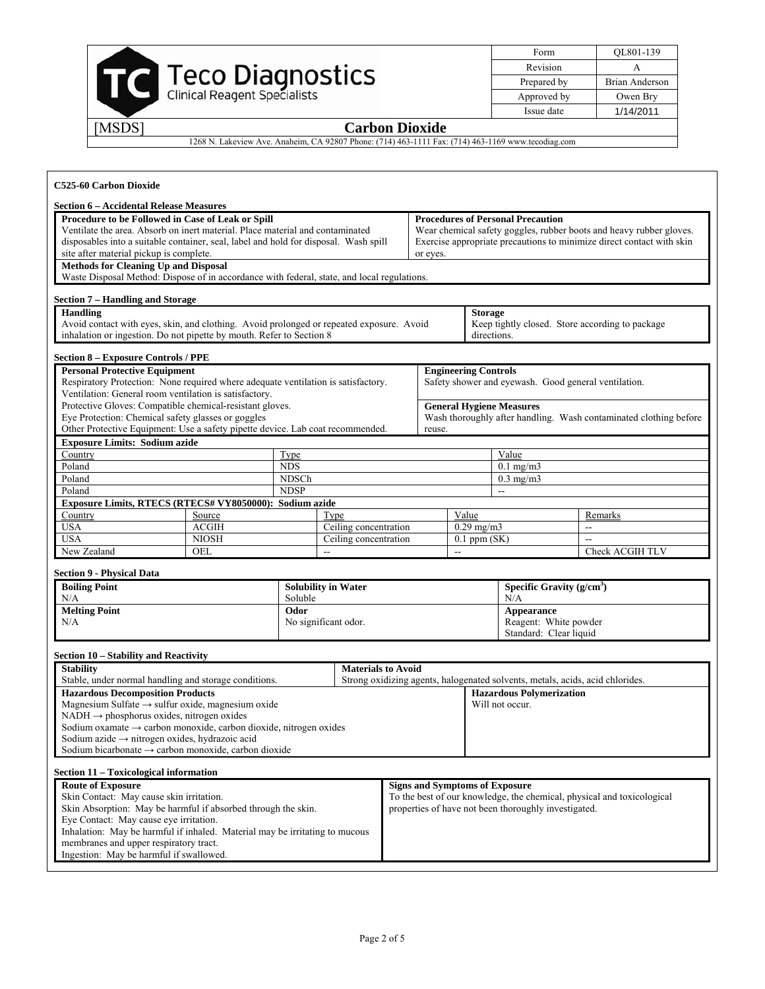| <b>Teco Diagnostics</b><br>Clinical Reagent Specialists |
|---------------------------------------------------------|
|                                                         |

| Form        | QL801-139             |
|-------------|-----------------------|
| Revision    |                       |
| Prepared by | <b>Brian Anderson</b> |
| Approved by | Owen Bry              |
| Issue date  | 1/14/2011             |

1268 N. Lakeview Ave. Anaheim, CA 92807 Phone: (714) 463-1111 Fax: (714) 463-1169 www.tecodiag.com

| C525-60 Carbon Dioxide                                                                                                                                                                                                                                                                                                                                                                                                                                                                                     |                                               |                                                              |                                                    |  |                                                                       |                                       |                                                                                                                                     |                                                                               |                                                                                                                                              |
|------------------------------------------------------------------------------------------------------------------------------------------------------------------------------------------------------------------------------------------------------------------------------------------------------------------------------------------------------------------------------------------------------------------------------------------------------------------------------------------------------------|-----------------------------------------------|--------------------------------------------------------------|----------------------------------------------------|--|-----------------------------------------------------------------------|---------------------------------------|-------------------------------------------------------------------------------------------------------------------------------------|-------------------------------------------------------------------------------|----------------------------------------------------------------------------------------------------------------------------------------------|
| <b>Section 6 - Accidental Release Measures</b><br>Procedure to be Followed in Case of Leak or Spill<br>Ventilate the area. Absorb on inert material. Place material and contaminated<br>disposables into a suitable container, seal, label and hold for disposal. Wash spill<br>site after material pickup is complete.<br><b>Methods for Cleaning Up and Disposal</b><br>Waste Disposal Method: Dispose of in accordance with federal, state, and local regulations.                                      |                                               |                                                              |                                                    |  | or eyes.                                                              |                                       | <b>Procedures of Personal Precaution</b>                                                                                            |                                                                               | Wear chemical safety goggles, rubber boots and heavy rubber gloves.<br>Exercise appropriate precautions to minimize direct contact with skin |
| Section 7 - Handling and Storage<br><b>Handling</b><br>Avoid contact with eyes, skin, and clothing. Avoid prolonged or repeated exposure. Avoid<br>inhalation or ingestion. Do not pipette by mouth. Refer to Section 8                                                                                                                                                                                                                                                                                    |                                               |                                                              |                                                    |  |                                                                       | <b>Storage</b><br>directions.         |                                                                                                                                     |                                                                               | Keep tightly closed. Store according to package                                                                                              |
| <b>Section 8 - Exposure Controls / PPE</b><br><b>Personal Protective Equipment</b><br>Respiratory Protection: None required where adequate ventilation is satisfactory.<br>Ventilation: General room ventilation is satisfactory.<br>Protective Gloves: Compatible chemical-resistant gloves.<br>Eye Protection: Chemical safety glasses or goggles<br>Other Protective Equipment: Use a safety pipette device. Lab coat recommended.                                                                      |                                               |                                                              |                                                    |  | reuse.                                                                | <b>Engineering Controls</b>           | Safety shower and eyewash. Good general ventilation.<br><b>General Hygiene Measures</b>                                             |                                                                               | Wash thoroughly after handling. Wash contaminated clothing before                                                                            |
| <b>Exposure Limits: Sodium azide</b><br>Country<br>Type<br>Poland<br><b>NDS</b><br>NDSCh<br>Poland<br><b>NDSP</b><br>Poland<br>Exposure Limits, RTECS (RTECS# VY8050000): Sodium azide                                                                                                                                                                                                                                                                                                                     |                                               |                                                              |                                                    |  | Value<br>$0.1$ mg/m $3$<br>$0.3$ mg/m $3$<br>$\overline{\phantom{a}}$ |                                       |                                                                                                                                     |                                                                               |                                                                                                                                              |
| Country<br><b>USA</b><br><b>USA</b><br>New Zealand                                                                                                                                                                                                                                                                                                                                                                                                                                                         | Source<br><b>ACGIH</b><br><b>NIOSH</b><br>OEL | Type<br>Ceiling concentration<br>Ceiling concentration<br>-- |                                                    |  | Value<br>$0.29$ mg/m3<br>$0.1$ ppm $(SK)$<br>$\overline{\phantom{a}}$ |                                       |                                                                                                                                     | $\overline{\phantom{a}}$                                                      | Remarks<br>Check ACGIH TLV                                                                                                                   |
| <b>Section 9 - Physical Data</b><br><b>Boiling Point</b><br>N/A<br><b>Melting Point</b><br>N/A                                                                                                                                                                                                                                                                                                                                                                                                             |                                               | Soluble<br>Odor                                              | <b>Solubility in Water</b><br>No significant odor. |  |                                                                       |                                       | N/A<br>Appearance                                                                                                                   | Specific Gravity $(g/cm3)$<br>Reagent: White powder<br>Standard: Clear liquid |                                                                                                                                              |
| Section 10 - Stability and Reactivity<br><b>Stability</b><br>Stable, under normal handling and storage conditions.<br><b>Hazardous Decomposition Products</b><br>Magnesium Sulfate $\rightarrow$ sulfur oxide, magnesium oxide<br>$NADH \rightarrow phosphorus$ oxides, nitrogen oxides<br>Sodium oxamate $\rightarrow$ carbon monoxide, carbon dioxide, nitrogen oxides<br>Sodium azide $\rightarrow$ nitrogen oxides, hydrazoic acid<br>Sodium bicarbonate $\rightarrow$ carbon monoxide, carbon dioxide |                                               |                                                              | <b>Materials to Avoid</b>                          |  |                                                                       |                                       | Strong oxidizing agents, halogenated solvents, metals, acids, acid chlorides.<br><b>Hazardous Polymerization</b><br>Will not occur. |                                                                               |                                                                                                                                              |
| Section 11 - Toxicological information<br><b>Route of Exposure</b><br>Skin Contact: May cause skin irritation.<br>Skin Absorption: May be harmful if absorbed through the skin.<br>Eye Contact: May cause eye irritation.<br>Inhalation: May be harmful if inhaled. Material may be irritating to mucous<br>membranes and upper respiratory tract.<br>Ingestion: May be harmful if swallowed.                                                                                                              |                                               |                                                              |                                                    |  |                                                                       | <b>Signs and Symptoms of Exposure</b> | properties of have not been thoroughly investigated.                                                                                |                                                                               | To the best of our knowledge, the chemical, physical and toxicological                                                                       |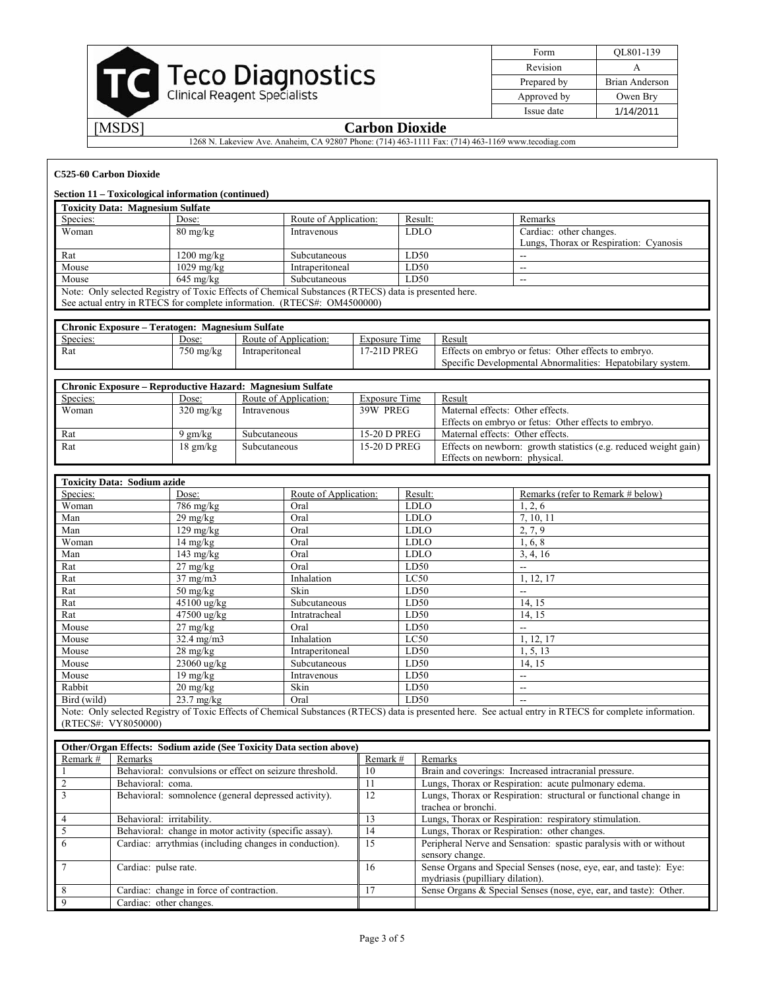

| Form        | QL801-139             |
|-------------|-----------------------|
| Revision    |                       |
| Prepared by | <b>Brian Anderson</b> |
| Approved by | Owen Bry              |
| Issue date  | 1/14/2011             |

1268 N. Lakeview Ave. Anaheim, CA 92807 Phone: (714) 463-1111 Fax: (714) 463-1169 www.tecodiag.com

#### **C525-60 Carbon Dioxide**

#### **Section 11 – Toxicological information (continued)**

| <b>Toxicity Data: Magnesium Sulfate</b>                                                              |                      |                       |             |                                        |  |
|------------------------------------------------------------------------------------------------------|----------------------|-----------------------|-------------|----------------------------------------|--|
| Species:                                                                                             | Dose:                | Route of Application: | Result:     | Remarks                                |  |
| Woman                                                                                                | $80 \text{ mg/kg}$   | Intravenous           | <b>LDLO</b> | Cardiac: other changes.                |  |
|                                                                                                      |                      |                       |             | Lungs, Thorax or Respiration: Cyanosis |  |
| Rat                                                                                                  | 1200 mg/kg           | Subcutaneous          | LD50        | --                                     |  |
| Mouse                                                                                                | $1029 \text{ mg/kg}$ | Intraperitoneal       | LD50        | --                                     |  |
| Mouse<br>D50<br>$645 \text{ mg/kg}$<br><b>Subcutaneous</b><br>$- -$                                  |                      |                       |             |                                        |  |
| Note: Only selected Registry of Toxic Effects of Chemical Substances (RTECS) data is presented here. |                      |                       |             |                                        |  |
| $\alpha$ setual entry in PTECS for complete information (PTECS#: $OM4500000$ )                       |                      |                       |             |                                        |  |

See actual entry in RTECS for complete information. (RTECS#: OM4500000)

| Chronic Exposure – Teratogen: Magnesium Sulfate |                     |                       |                      |                                                            |  |
|-------------------------------------------------|---------------------|-----------------------|----------------------|------------------------------------------------------------|--|
| Species:                                        | Dose:               | Route of Application: | <b>Exposure Time</b> | Result                                                     |  |
| Rat                                             | $750 \text{ mg/kg}$ | Intraperitoneal       | 17-21D PREG          | Effects on embryo or fetus: Other effects to embryo.       |  |
|                                                 |                     |                       |                      | Specific Developmental Abnormalities: Hepatobilary system. |  |

| <b>Chronic Exposure – Reproductive Hazard: Magnesium Sulfate</b> |                     |                       |                |                                                                  |  |
|------------------------------------------------------------------|---------------------|-----------------------|----------------|------------------------------------------------------------------|--|
| Species:                                                         | Dose:               | Route of Application: | Exposure Time  | Result                                                           |  |
| Woman                                                            | $320 \text{ mg/kg}$ | Intravenous           | 39W PREG       | Maternal effects: Other effects.                                 |  |
|                                                                  |                     |                       |                | Effects on embryo or fetus: Other effects to embryo.             |  |
| Rat                                                              | 9 gm/kg             | Subcutaneous          | 15-20 D PREG   | Maternal effects: Other effects.                                 |  |
| Rat                                                              | $18 \text{ gm/kg}$  | Subcutaneous          | $15-20$ D PREG | Effects on newborn: growth statistics (e.g. reduced weight gain) |  |
|                                                                  |                     |                       |                | Effects on newborn: physical.                                    |  |

| <b>Toxicity Data: Sodium azide</b>                                                                                                                       |                                  |                       |             |                                   |
|----------------------------------------------------------------------------------------------------------------------------------------------------------|----------------------------------|-----------------------|-------------|-----------------------------------|
| Species:                                                                                                                                                 | Dose:                            | Route of Application: | Result:     | Remarks (refer to Remark # below) |
| Woman                                                                                                                                                    | $786 \text{ mg/kg}$              | Oral                  | <b>LDLO</b> | 1, 2, 6                           |
| Man                                                                                                                                                      | $29 \frac{\text{mg}}{\text{kg}}$ | Oral                  | <b>LDLO</b> | 7, 10, 11                         |
| Man                                                                                                                                                      | $129 \text{ mg/kg}$              | Oral                  | <b>LDLO</b> | 2, 7, 9                           |
| Woman                                                                                                                                                    | $14 \text{ mg/kg}$               | Oral                  | <b>LDLO</b> | 1, 6, 8                           |
| Man                                                                                                                                                      | $143 \text{ mg/kg}$              | Oral                  | <b>LDLO</b> | 3, 4, 16                          |
| Rat                                                                                                                                                      | $27 \text{ mg/kg}$               | Oral                  | LD50        | --                                |
| Rat                                                                                                                                                      | $37 \text{ mg/m}$                | Inhalation            | LC50        | 1, 12, 17                         |
| Rat                                                                                                                                                      | $50 \text{ mg/kg}$               | Skin                  | LD50        | $-$                               |
| Rat                                                                                                                                                      | $45100$ ug/kg                    | Subcutaneous          | LD50        | 14, 15                            |
| Rat                                                                                                                                                      | $47500$ ug/kg                    | Intratracheal         | LD50        | 14, 15                            |
| Mouse                                                                                                                                                    | $27 \frac{\text{mg}}{\text{kg}}$ | Oral                  | LD50        | $- -$                             |
| Mouse                                                                                                                                                    | $32.4 \text{ mg/m}$              | Inhalation            | LC50        | 1, 12, 17                         |
| Mouse                                                                                                                                                    | $28 \text{ mg/kg}$               | Intraperitoneal       | LD50        | 1, 5, 13                          |
| Mouse                                                                                                                                                    | 23060 ug/kg                      | Subcutaneous          | LD50        | 14, 15                            |
| Mouse                                                                                                                                                    | $19 \text{ mg/kg}$               | Intravenous           | LD50        | --                                |
| Rabbit                                                                                                                                                   | $20 \text{ mg/kg}$               | Skin                  | LD50        | --                                |
| Bird (wild)                                                                                                                                              | $23.7 \text{ mg/kg}$             | Oral                  | LD50        | $- -$                             |
| Note: Only selected Registry of Toxic Effects of Chemical Substances (RTECS) data is presented here. See actual entry in RTECS for complete information. |                                  |                       |             |                                   |

(RTECS#: VY8050000)

| Other/Organ Effects: Sodium azide (See Toxicity Data section above) |                                                         |              |                                                                                                       |  |  |
|---------------------------------------------------------------------|---------------------------------------------------------|--------------|-------------------------------------------------------------------------------------------------------|--|--|
| Remark #                                                            | Remarks                                                 | Remark #     | Remarks                                                                                               |  |  |
|                                                                     | Behavioral: convulsions or effect on seizure threshold. | 10           | Brain and coverings: Increased intracranial pressure.                                                 |  |  |
|                                                                     | Behavioral: coma.                                       |              | Lungs, Thorax or Respiration: acute pulmonary edema.                                                  |  |  |
|                                                                     | Behavioral: somnolence (general depressed activity).    | $12^{\circ}$ | Lungs, Thorax or Respiration: structural or functional change in<br>trachea or bronchi.               |  |  |
|                                                                     | Behavioral: irritability.                               | i 3.         | Lungs, Thorax or Respiration: respiratory stimulation.                                                |  |  |
|                                                                     | Behavioral: change in motor activity (specific assay).  | 14           | Lungs, Thorax or Respiration: other changes.                                                          |  |  |
|                                                                     | Cardiac: arrythmias (including changes in conduction).  | 15           | Peripheral Nerve and Sensation: spastic paralysis with or without<br>sensory change.                  |  |  |
|                                                                     | Cardiac: pulse rate.                                    | 16           | Sense Organs and Special Senses (nose, eye, ear, and taste): Eye:<br>mydriasis (pupilliary dilation). |  |  |
|                                                                     | Cardiac: change in force of contraction.                |              | Sense Organs & Special Senses (nose, eye, ear, and taste): Other.                                     |  |  |
|                                                                     | Cardiac: other changes.                                 |              |                                                                                                       |  |  |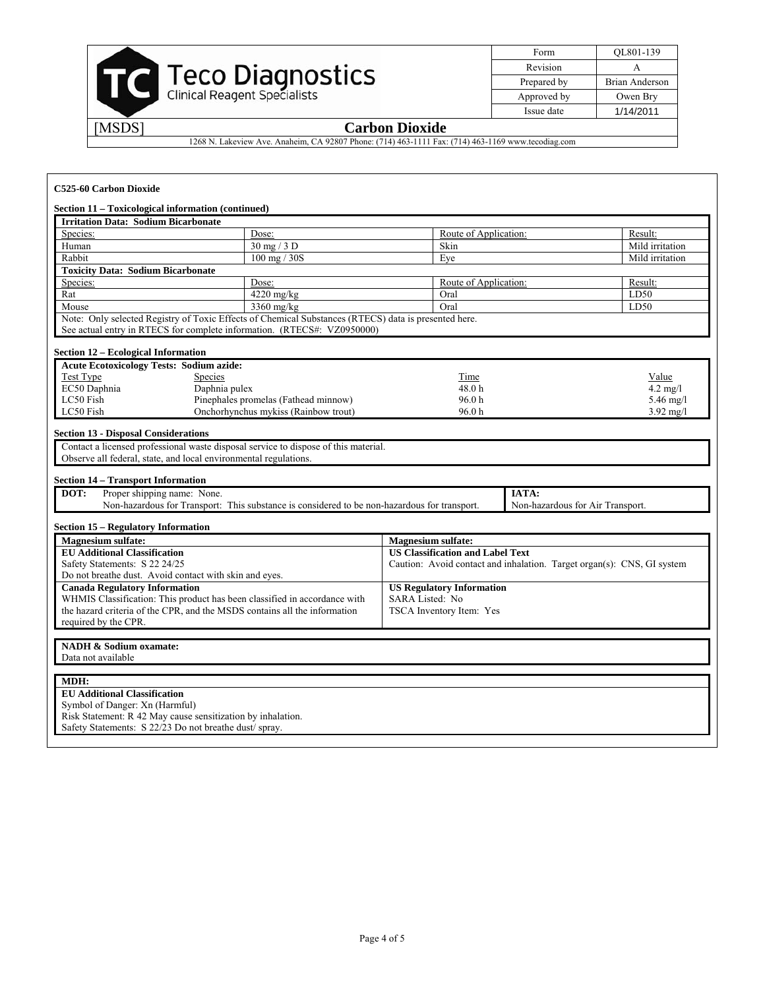

| Form        | OL801-139             |
|-------------|-----------------------|
| Revision    |                       |
| Prepared by | <b>Brian Anderson</b> |
| Approved by | Owen Bry              |
| Issue date  | 1/14/2011             |

1268 N. Lakeview Ave. Anaheim, CA 92807 Phone: (714) 463-1111 Fax: (714) 463-1169 www.tecodiag.com

| C525-60 Carbon Dioxide                                                                                                                                                                                                        |                                                                                                      |                                                                        |  |                    |
|-------------------------------------------------------------------------------------------------------------------------------------------------------------------------------------------------------------------------------|------------------------------------------------------------------------------------------------------|------------------------------------------------------------------------|--|--------------------|
|                                                                                                                                                                                                                               | Section 11 – Toxicological information (continued)                                                   |                                                                        |  |                    |
| <b>Irritation Data: Sodium Bicarbonate</b>                                                                                                                                                                                    |                                                                                                      |                                                                        |  |                    |
| Species:                                                                                                                                                                                                                      | Dose:                                                                                                | Route of Application:                                                  |  | Result:            |
| Human                                                                                                                                                                                                                         | 30 mg / 3 D                                                                                          | Skin                                                                   |  | Mild irritation    |
| Rabbit                                                                                                                                                                                                                        | 100 mg / 30S                                                                                         | Eye                                                                    |  | Mild irritation    |
| <b>Toxicity Data: Sodium Bicarbonate</b>                                                                                                                                                                                      |                                                                                                      |                                                                        |  |                    |
| Species:                                                                                                                                                                                                                      | Dose:                                                                                                | Route of Application:                                                  |  | Result:            |
| Rat                                                                                                                                                                                                                           | 4220 mg/kg                                                                                           | Oral                                                                   |  | LD50               |
| Mouse                                                                                                                                                                                                                         | 3360 mg/kg                                                                                           | Oral                                                                   |  | LD50               |
|                                                                                                                                                                                                                               | Note: Only selected Registry of Toxic Effects of Chemical Substances (RTECS) data is presented here. |                                                                        |  |                    |
|                                                                                                                                                                                                                               | See actual entry in RTECS for complete information. (RTECS#: VZ0950000)                              |                                                                        |  |                    |
| <b>Section 12 - Ecological Information</b>                                                                                                                                                                                    |                                                                                                      |                                                                        |  |                    |
| <b>Acute Ecotoxicology Tests: Sodium azide:</b>                                                                                                                                                                               |                                                                                                      |                                                                        |  |                    |
| Test Type                                                                                                                                                                                                                     | <b>Species</b>                                                                                       | Time                                                                   |  | Value              |
| EC50 Daphnia                                                                                                                                                                                                                  | Daphnia pulex                                                                                        | 48.0h                                                                  |  | $4.2 \text{ mg/l}$ |
| LC50 Fish                                                                                                                                                                                                                     | Pinephales promelas (Fathead minnow)                                                                 | 96.0 <sub>h</sub>                                                      |  | 5.46 mg/l          |
| LC50 Fish                                                                                                                                                                                                                     | Onchorhynchus mykiss (Rainbow trout)                                                                 | 96.0h                                                                  |  | $3.92$ mg/l        |
| <b>Section 14 - Transport Information</b><br>Proper shipping name: None.<br>DOT:<br>IATA:<br>Non-hazardous for Transport: This substance is considered to be non-hazardous for transport.<br>Non-hazardous for Air Transport. |                                                                                                      |                                                                        |  |                    |
| <b>Section 15 - Regulatory Information</b><br>Magnesium sulfate:                                                                                                                                                              |                                                                                                      | <b>Magnesium sulfate:</b>                                              |  |                    |
| <b>EU Additional Classification</b>                                                                                                                                                                                           |                                                                                                      | <b>US Classification and Label Text</b>                                |  |                    |
| Safety Statements: S 22 24/25                                                                                                                                                                                                 |                                                                                                      | Caution: Avoid contact and inhalation. Target organ(s): CNS, GI system |  |                    |
|                                                                                                                                                                                                                               |                                                                                                      |                                                                        |  |                    |
| Do not breathe dust. Avoid contact with skin and eyes.<br><b>Canada Regulatory Information</b>                                                                                                                                |                                                                                                      | <b>US Regulatory Information</b>                                       |  |                    |
| WHMIS Classification: This product has been classified in accordance with                                                                                                                                                     |                                                                                                      | SARA Listed: No                                                        |  |                    |
| the hazard criteria of the CPR, and the MSDS contains all the information                                                                                                                                                     |                                                                                                      | TSCA Inventory Item: Yes                                               |  |                    |
| required by the CPR.                                                                                                                                                                                                          |                                                                                                      |                                                                        |  |                    |
|                                                                                                                                                                                                                               |                                                                                                      |                                                                        |  |                    |
| <b>NADH &amp; Sodium oxamate:</b>                                                                                                                                                                                             |                                                                                                      |                                                                        |  |                    |
| Data not available                                                                                                                                                                                                            |                                                                                                      |                                                                        |  |                    |
| MDH:                                                                                                                                                                                                                          |                                                                                                      |                                                                        |  |                    |
| <b>EU Additional Classification</b>                                                                                                                                                                                           |                                                                                                      |                                                                        |  |                    |
| Symbol of Danger: Xn (Harmful)                                                                                                                                                                                                |                                                                                                      |                                                                        |  |                    |
| Risk Statement: R 42 May cause sensitization by inhalation.                                                                                                                                                                   |                                                                                                      |                                                                        |  |                    |
| Safety Statements: S 22/23 Do not breathe dust/ spray.                                                                                                                                                                        |                                                                                                      |                                                                        |  |                    |
|                                                                                                                                                                                                                               |                                                                                                      |                                                                        |  |                    |